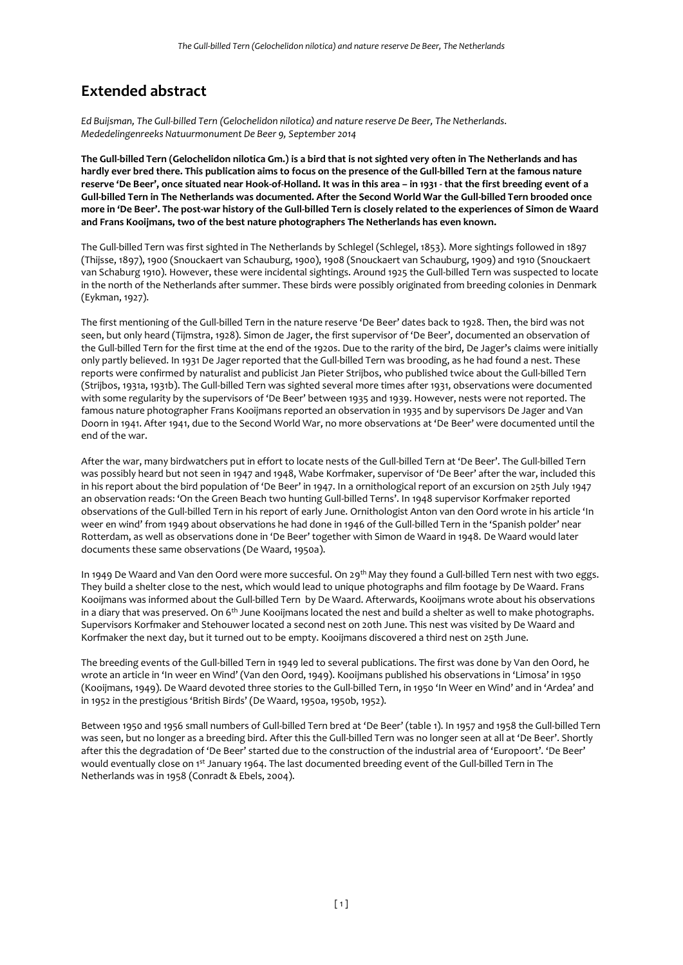## **Extended abstract**

*Ed Buijsman, The Gull-billed Tern (Gelochelidon nilotica) and nature reserve De Beer, The Netherlands. Mededelingenreeks Natuurmonument De Beer 9, September 2014*

**The Gull-billed Tern (Gelochelidon nilotica Gm.) is a bird that is not sighted very often in The Netherlands and has hardly ever bred there. This publication aims to focus on the presence of the Gull-billed Tern at the famous nature reserve 'De Beer', once situated near Hook-of-Holland. It was in this area – in 1931 - that the first breeding event of a Gull-billed Tern in The Netherlands was documented. After the Second World War the Gull-billed Tern brooded once more in 'De Beer'. The post-war history of the Gull-billed Tern is closely related to the experiences of Simon de Waard and Frans Kooijmans, two of the best nature photographers The Netherlands has even known.** 

The Gull-billed Tern was first sighted in The Netherlands by Schlegel (Schlegel, 1853). More sightings followed in 1897 (Thijsse, 1897), 1900 (Snouckaert van Schauburg, 1900), 1908 (Snouckaert van Schauburg, 1909) and 1910 (Snouckaert van Schaburg 1910). However, these were incidental sightings. Around 1925 the Gull-billed Tern was suspected to locate in the north of the Netherlands after summer. These birds were possibly originated from breeding colonies in Denmark (Eykman, 1927).

The first mentioning of the Gull-billed Tern in the nature reserve 'De Beer' dates back to 1928. Then, the bird was not seen, but only heard (Tijmstra, 1928). Simon de Jager, the first supervisor of 'De Beer', documented an observation of the Gull-billed Tern for the first time at the end of the 1920s. Due to the rarity of the bird, De Jager's claims were initially only partly believed. In 1931 De Jager reported that the Gull-billed Tern was brooding, as he had found a nest. These reports were confirmed by naturalist and publicist Jan Pieter Strijbos, who published twice about the Gull-billed Tern (Strijbos, 1931a, 1931b). The Gull-billed Tern was sighted several more times after 1931, observations were documented with some regularity by the supervisors of 'De Beer' between 1935 and 1939. However, nests were not reported. The famous nature photographer Frans Kooijmans reported an observation in 1935 and by supervisors De Jager and Van Doorn in 1941. After 1941, due to the Second World War, no more observations at 'De Beer' were documented until the end of the war.

After the war, many birdwatchers put in effort to locate nests of the Gull-billed Tern at 'De Beer'. The Gull-billed Tern was possibly heard but not seen in 1947 and 1948, Wabe Korfmaker, supervisor of 'De Beer' after the war, included this in his report about the bird population of 'De Beer' in 1947. In a ornithological report of an excursion on 25th July 1947 an observation reads: 'On the Green Beach two hunting Gull-billed Terns'. In 1948 supervisor Korfmaker reported observations of the Gull-billed Tern in his report of early June. Ornithologist Anton van den Oord wrote in his article 'In weer en wind' from 1949 about observations he had done in 1946 of the Gull-billed Tern in the 'Spanish polder' near Rotterdam, as well as observations done in 'De Beer' together with Simon de Waard in 1948. De Waard would later documents these same observations (De Waard, 1950a).

In 1949 De Waard and Van den Oord were more succesful. On 29<sup>th</sup> May they found a Gull-billed Tern nest with two eggs. They build a shelter close to the nest, which would lead to unique photographs and film footage by De Waard. Frans Kooijmans was informed about the Gull-billed Tern by De Waard. Afterwards, Kooijmans wrote about his observations in a diary that was preserved. On  $6<sup>th</sup>$  June Kooijmans located the nest and build a shelter as well to make photographs. Supervisors Korfmaker and Stehouwer located a second nest on 20th June. This nest was visited by De Waard and Korfmaker the next day, but it turned out to be empty. Kooijmans discovered a third nest on 25th June.

The breeding events of the Gull-billed Tern in 1949 led to several publications. The first was done by Van den Oord, he wrote an article in 'In weer en Wind' (Van den Oord, 1949). Kooijmans published his observations in 'Limosa' in 1950 (Kooijmans, 1949). De Waard devoted three stories to the Gull-billed Tern, in 1950 'In Weer en Wind' and in 'Ardea' and in 1952 in the prestigious 'British Birds' (De Waard, 1950a, 1950b, 1952).

Between 1950 and 1956 small numbers of Gull-billed Tern bred at 'De Beer' (table 1). In 1957 and 1958 the Gull-billed Tern was seen, but no longer as a breeding bird. After this the Gull-billed Tern was no longer seen at all at 'De Beer'. Shortly after this the degradation of 'De Beer' started due to the construction of the industrial area of 'Europoort'. 'De Beer' would eventually close on 1st January 1964. The last documented breeding event of the Gull-billed Tern in The Netherlands was in 1958 (Conradt & Ebels, 2004).